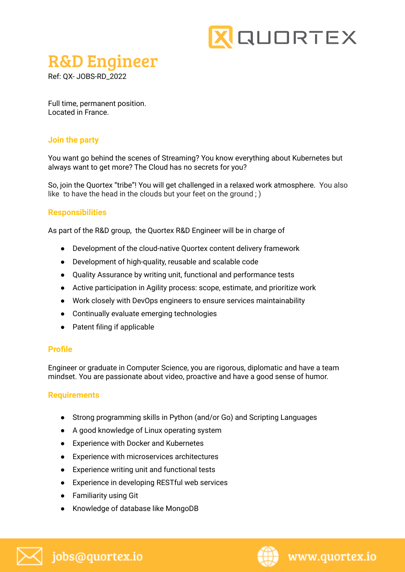

# R&D Engineer

Ref: QX- JOBS-RD\_2022

Full time, permanent position. Located in France.

### **Join the party**

You want go behind the scenes of Streaming? You know everything about Kubernetes but always want to get more? The Cloud has no secrets for you?

So, join the Quortex "tribe"! You will get challenged in a relaxed work atmosphere. You also like to have the head in the clouds but your feet on the ground ; )

#### **Responsibilities**

As part of the R&D group, the Quortex R&D Engineer will be in charge of

- Development of the cloud-native Quortex content delivery framework
- Development of high-quality, reusable and scalable code
- Quality Assurance by writing unit, functional and performance tests
- Active participation in Agility process: scope, estimate, and prioritize work
- Work closely with DevOps engineers to ensure services maintainability
- Continually evaluate emerging technologies
- Patent filing if applicable

#### **Profile**

Engineer or graduate in Computer Science, you are rigorous, diplomatic and have a team mindset. You are passionate about video, proactive and have a good sense of humor.

#### **Requirements**

- Strong programming skills in Python (and/or Go) and Scripting Languages
- A good knowledge of Linux operating system
- Experience with Docker and Kubernetes
- Experience with microservices architectures
- Experience writing unit and functional tests
- Experience in developing RESTful web services
- Familiarity using Git
- Knowledge of database like MongoDB